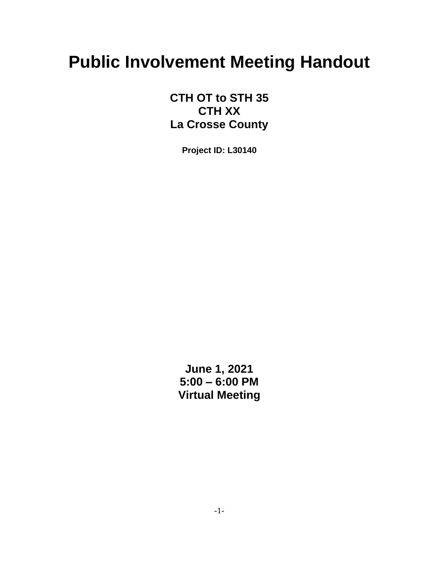# **Public Involvement Meeting Handout**

**CTH OT to STH 35 CTH XX La Crosse County**

**Project ID: L30140**

**June 1, 2021 5:00 – 6:00 PM Virtual Meeting**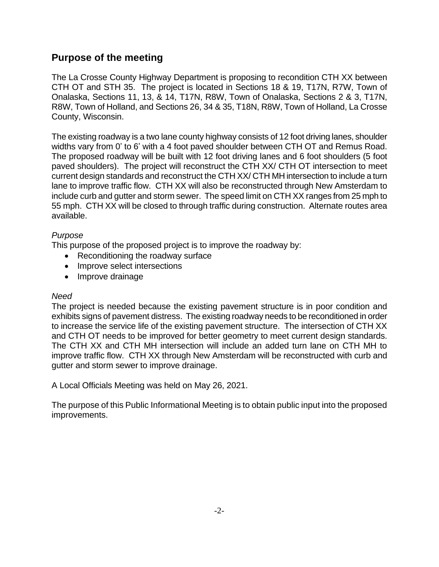## **Purpose of the meeting**

The La Crosse County Highway Department is proposing to recondition CTH XX between CTH OT and STH 35. The project is located in Sections 18 & 19, T17N, R7W, Town of Onalaska, Sections 11, 13, & 14, T17N, R8W, Town of Onalaska, Sections 2 & 3, T17N, R8W, Town of Holland, and Sections 26, 34 & 35, T18N, R8W, Town of Holland, La Crosse County, Wisconsin.

The existing roadway is a two lane county highway consists of 12 foot driving lanes, shoulder widths vary from 0' to 6' with a 4 foot paved shoulder between CTH OT and Remus Road. The proposed roadway will be built with 12 foot driving lanes and 6 foot shoulders (5 foot paved shoulders). The project will reconstruct the CTH XX/ CTH OT intersection to meet current design standards and reconstruct the CTH XX/ CTH MH intersection to include a turn lane to improve traffic flow. CTH XX will also be reconstructed through New Amsterdam to include curb and gutter and storm sewer. The speed limit on CTH XX ranges from 25 mph to 55 mph. CTH XX will be closed to through traffic during construction. Alternate routes area available.

#### *Purpose*

This purpose of the proposed project is to improve the roadway by:

- Reconditioning the roadway surface
- Improve select intersections
- Improve drainage

#### *Need*

The project is needed because the existing pavement structure is in poor condition and exhibits signs of pavement distress. The existing roadway needs to be reconditioned in order to increase the service life of the existing pavement structure. The intersection of CTH XX and CTH OT needs to be improved for better geometry to meet current design standards. The CTH XX and CTH MH intersection will include an added turn lane on CTH MH to improve traffic flow. CTH XX through New Amsterdam will be reconstructed with curb and gutter and storm sewer to improve drainage.

A Local Officials Meeting was held on May 26, 2021.

The purpose of this Public Informational Meeting is to obtain public input into the proposed improvements.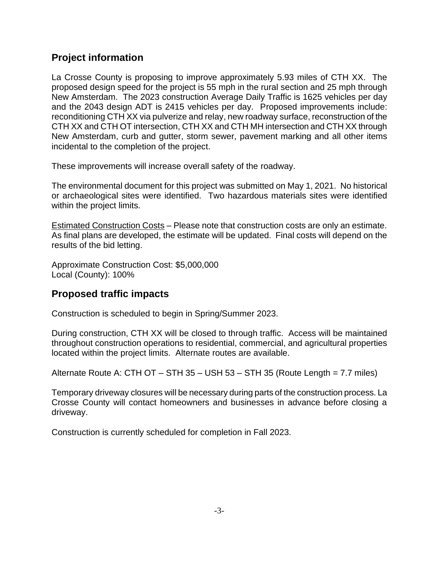# **Project information**

La Crosse County is proposing to improve approximately 5.93 miles of CTH XX. The proposed design speed for the project is 55 mph in the rural section and 25 mph through New Amsterdam. The 2023 construction Average Daily Traffic is 1625 vehicles per day and the 2043 design ADT is 2415 vehicles per day. Proposed improvements include: reconditioning CTH XX via pulverize and relay, new roadway surface, reconstruction of the CTH XX and CTH OT intersection, CTH XX and CTH MH intersection and CTH XX through New Amsterdam, curb and gutter, storm sewer, pavement marking and all other items incidental to the completion of the project.

These improvements will increase overall safety of the roadway.

The environmental document for this project was submitted on May 1, 2021. No historical or archaeological sites were identified. Two hazardous materials sites were identified within the project limits.

Estimated Construction Costs – Please note that construction costs are only an estimate. As final plans are developed, the estimate will be updated. Final costs will depend on the results of the bid letting.

Approximate Construction Cost: \$5,000,000 Local (County): 100%

# **Proposed traffic impacts**

Construction is scheduled to begin in Spring/Summer 2023.

During construction, CTH XX will be closed to through traffic. Access will be maintained throughout construction operations to residential, commercial, and agricultural properties located within the project limits. Alternate routes are available.

Alternate Route A: CTH OT – STH 35 – USH 53 – STH 35 (Route Length = 7.7 miles)

Temporary driveway closures will be necessary during parts of the construction process. La Crosse County will contact homeowners and businesses in advance before closing a driveway.

Construction is currently scheduled for completion in Fall 2023.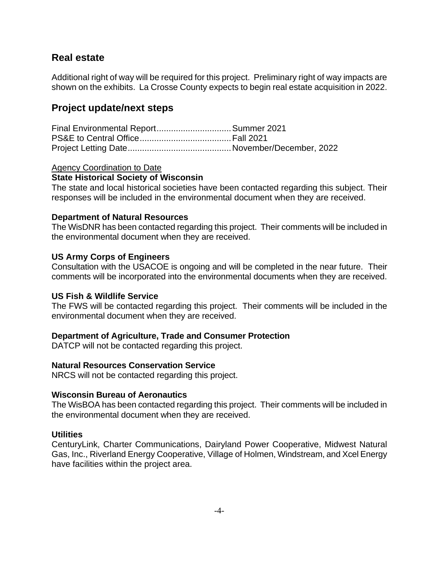### **Real estate**

Additional right of way will be required for this project. Preliminary right of way impacts are shown on the exhibits. La Crosse County expects to begin real estate acquisition in 2022.

# **Project update/next steps**

| Final Environmental Report Summer 2021 |  |
|----------------------------------------|--|
|                                        |  |
|                                        |  |

Agency Coordination to Date

#### **State Historical Society of Wisconsin**

The state and local historical societies have been contacted regarding this subject. Their responses will be included in the environmental document when they are received.

#### **Department of Natural Resources**

The WisDNR has been contacted regarding this project. Their comments will be included in the environmental document when they are received.

#### **US Army Corps of Engineers**

Consultation with the USACOE is ongoing and will be completed in the near future. Their comments will be incorporated into the environmental documents when they are received.

#### **US Fish & Wildlife Service**

The FWS will be contacted regarding this project. Their comments will be included in the environmental document when they are received.

#### **Department of Agriculture, Trade and Consumer Protection**

DATCP will not be contacted regarding this project.

#### **Natural Resources Conservation Service**

NRCS will not be contacted regarding this project.

#### **Wisconsin Bureau of Aeronautics**

The WisBOA has been contacted regarding this project. Their comments will be included in the environmental document when they are received.

#### **Utilities**

CenturyLink, Charter Communications, Dairyland Power Cooperative, Midwest Natural Gas, Inc., Riverland Energy Cooperative, Village of Holmen, Windstream, and Xcel Energy have facilities within the project area.